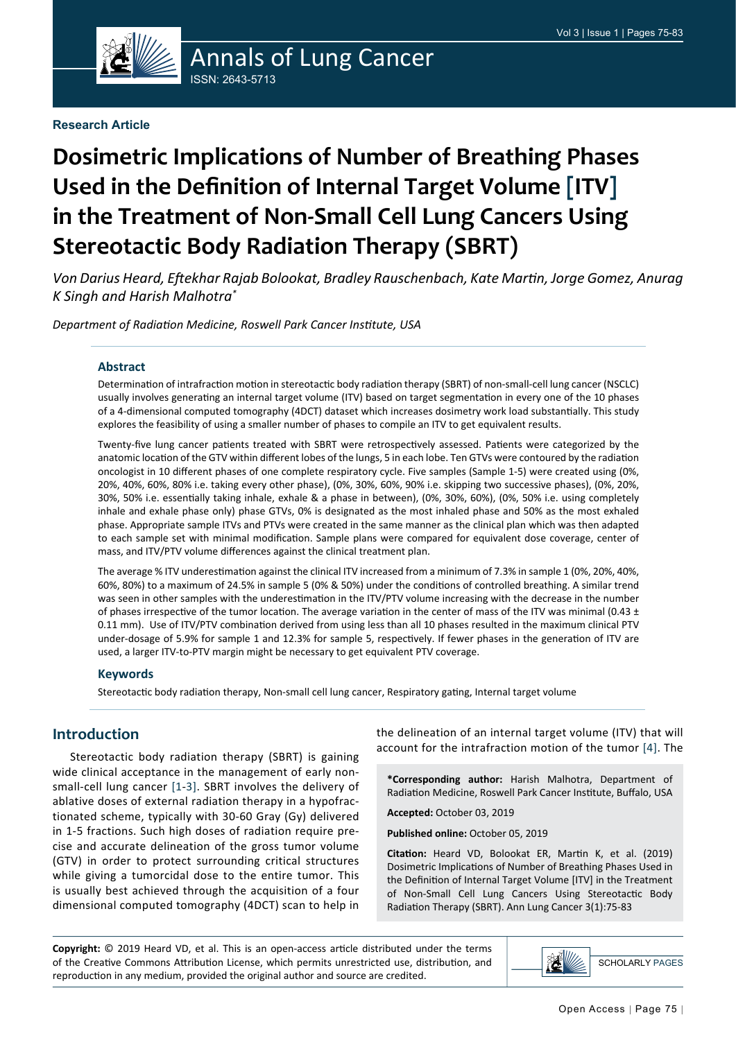

# Annals of Lung Cancer ISSN: 2643-5713

#### **Research Article**

# **Dosimetric Implications of Number of Breathing Phases Used in the Definition of Internal Target Volume [ITV] in the Treatment of Non-Small Cell Lung Cancers Using Stereotactic Body Radiation Therapy (SBRT)**

*Von Darius Heard, Eftekhar Rajab Bolookat, Bradley Rauschenbach, Kate Martin, Jorge Gomez, Anurag K Singh and Harish Malhotra\**

*Department of Radiation Medicine, Roswell Park Cancer Institute, USA*

#### **Abstract**

Determination of intrafraction motion in stereotactic body radiation therapy (SBRT) of non-small-cell lung cancer (NSCLC) usually involves generating an internal target volume (ITV) based on target segmentation in every one of the 10 phases of a 4-dimensional computed tomography (4DCT) dataset which increases dosimetry work load substantially. This study explores the feasibility of using a smaller number of phases to compile an ITV to get equivalent results.

Twenty-five lung cancer patients treated with SBRT were retrospectively assessed. Patients were categorized by the anatomic location of the GTV within different lobes of the lungs, 5 in each lobe. Ten GTVs were contoured by the radiation oncologist in 10 different phases of one complete respiratory cycle. Five samples (Sample 1-5) were created using (0%, 20%, 40%, 60%, 80% i.e. taking every other phase), (0%, 30%, 60%, 90% i.e. skipping two successive phases), (0%, 20%, 30%, 50% i.e. essentially taking inhale, exhale & a phase in between), (0%, 30%, 60%), (0%, 50% i.e. using completely inhale and exhale phase only) phase GTVs, 0% is designated as the most inhaled phase and 50% as the most exhaled phase. Appropriate sample ITVs and PTVs were created in the same manner as the clinical plan which was then adapted to each sample set with minimal modification. Sample plans were compared for equivalent dose coverage, center of mass, and ITV/PTV volume differences against the clinical treatment plan.

The average % ITV underestimation against the clinical ITV increased from a minimum of 7.3% in sample 1 (0%, 20%, 40%, 60%, 80%) to a maximum of 24.5% in sample 5 (0% & 50%) under the conditions of controlled breathing. A similar trend was seen in other samples with the underestimation in the ITV/PTV volume increasing with the decrease in the number of phases irrespective of the tumor location. The average variation in the center of mass of the ITV was minimal (0.43  $\pm$ 0.11 mm). Use of ITV/PTV combination derived from using less than all 10 phases resulted in the maximum clinical PTV under-dosage of 5.9% for sample 1 and 12.3% for sample 5, respectively. If fewer phases in the generation of ITV are used, a larger ITV-to-PTV margin might be necessary to get equivalent PTV coverage.

#### **Keywords**

Stereotactic body radiation therapy, Non-small cell lung cancer, Respiratory gating, Internal target volume

### **Introduction**

Stereotactic body radiation therapy (SBRT) is gaining wide clinical acceptance in the management of early nonsmall-cell lung cancer [[1](#page-8-0)-[3\]](#page-8-1). SBRT involves the delivery of ablative doses of external radiation therapy in a hypofractionated scheme, typically with 30-60 Gray (Gy) delivered in 1-5 fractions. Such high doses of radiation require precise and accurate delineation of the gross tumor volume (GTV) in order to protect surrounding critical structures while giving a tumorcidal dose to the entire tumor. This is usually best achieved through the acquisition of a four dimensional computed tomography (4DCT) scan to help in the delineation of an internal target volume (ITV) that will account for the intrafraction motion of the tumor [\[4\]](#page-8-2). The

**\*Corresponding author:** Harish Malhotra, Department of Radiation Medicine, Roswell Park Cancer Institute, Buffalo, USA

**Accepted:** October 03, 2019

**Published online:** October 05, 2019

**Citation:** Heard VD, Bolookat ER, Martin K, et al. (2019) Dosimetric Implications of Number of Breathing Phases Used in the Definition of Internal Target Volume [ITV] in the Treatment of Non-Small Cell Lung Cancers Using Stereotactic Body Radiation Therapy (SBRT). Ann Lung Cancer 3(1):75-83

**Copyright:** © 2019 Heard VD, et al. This is an open-access article distributed under the terms of the Creative Commons Attribution License, which permits unrestricted use, distribution, and reproduction in any medium, provided the original author and source are credited.

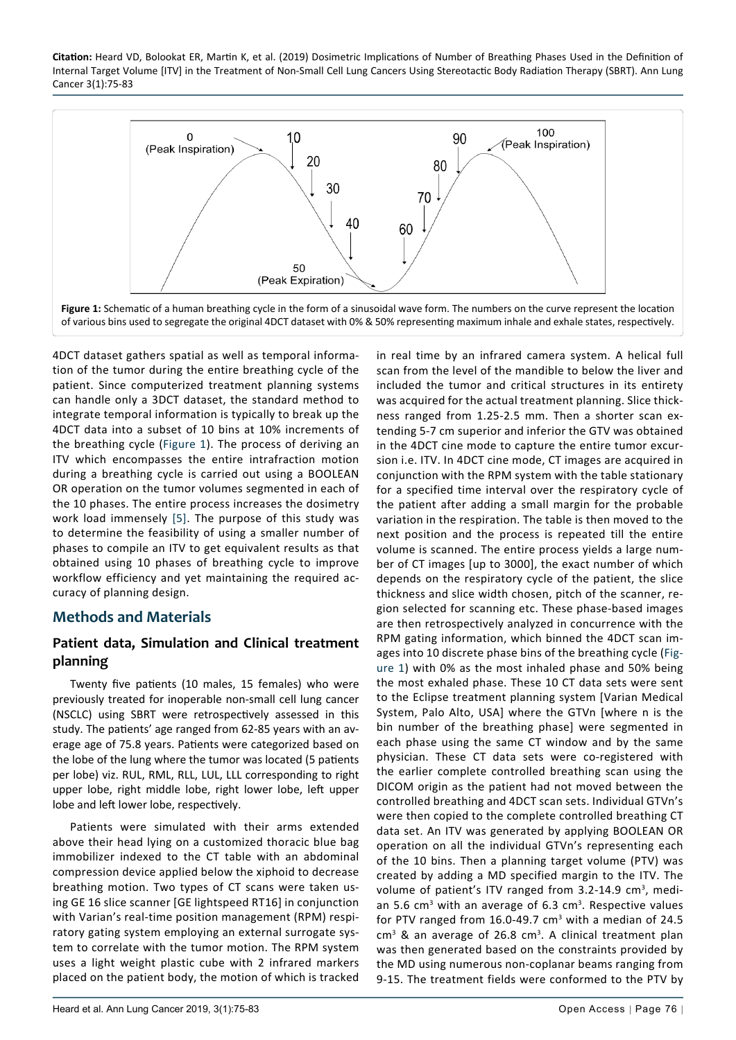<span id="page-1-0"></span>

4DCT dataset gathers spatial as well as temporal information of the tumor during the entire breathing cycle of the patient. Since computerized treatment planning systems can handle only a 3DCT dataset, the standard method to integrate temporal information is typically to break up the 4DCT data into a subset of 10 bins at 10% increments of the breathing cycle ([Figure 1](#page-1-0)). The process of deriving an ITV which encompasses the entire intrafraction motion during a breathing cycle is carried out using a BOOLEAN OR operation on the tumor volumes segmented in each of the 10 phases. The entire process increases the dosimetry work load immensely [[5\]](#page-8-3). The purpose of this study was to determine the feasibility of using a smaller number of phases to compile an ITV to get equivalent results as that obtained using 10 phases of breathing cycle to improve workflow efficiency and yet maintaining the required accuracy of planning design.

## **Methods and Materials**

## **Patient data, Simulation and Clinical treatment planning**

Twenty five patients (10 males, 15 females) who were previously treated for inoperable non-small cell lung cancer (NSCLC) using SBRT were retrospectively assessed in this study. The patients' age ranged from 62-85 years with an average age of 75.8 years. Patients were categorized based on the lobe of the lung where the tumor was located (5 patients per lobe) viz. RUL, RML, RLL, LUL, LLL corresponding to right upper lobe, right middle lobe, right lower lobe, left upper lobe and left lower lobe, respectively.

Patients were simulated with their arms extended above their head lying on a customized thoracic blue bag immobilizer indexed to the CT table with an abdominal compression device applied below the xiphoid to decrease breathing motion. Two types of CT scans were taken using GE 16 slice scanner [GE lightspeed RT16] in conjunction with Varian's real-time position management (RPM) respiratory gating system employing an external surrogate system to correlate with the tumor motion. The RPM system uses a light weight plastic cube with 2 infrared markers placed on the patient body, the motion of which is tracked

in real time by an infrared camera system. A helical full scan from the level of the mandible to below the liver and included the tumor and critical structures in its entirety was acquired for the actual treatment planning. Slice thickness ranged from 1.25-2.5 mm. Then a shorter scan extending 5-7 cm superior and inferior the GTV was obtained in the 4DCT cine mode to capture the entire tumor excursion i.e. ITV. In 4DCT cine mode, CT images are acquired in conjunction with the RPM system with the table stationary for a specified time interval over the respiratory cycle of the patient after adding a small margin for the probable variation in the respiration. The table is then moved to the next position and the process is repeated till the entire volume is scanned. The entire process yields a large number of CT images [up to 3000], the exact number of which depends on the respiratory cycle of the patient, the slice thickness and slice width chosen, pitch of the scanner, region selected for scanning etc. These phase-based images are then retrospectively analyzed in concurrence with the RPM gating information, which binned the 4DCT scan images into 10 discrete phase bins of the breathing cycle [\(Fig](#page-1-0)[ure 1\)](#page-1-0) with 0% as the most inhaled phase and 50% being the most exhaled phase. These 10 CT data sets were sent to the Eclipse treatment planning system [Varian Medical System, Palo Alto, USA] where the GTVn [where n is the bin number of the breathing phase] were segmented in each phase using the same CT window and by the same physician. These CT data sets were co-registered with the earlier complete controlled breathing scan using the DICOM origin as the patient had not moved between the controlled breathing and 4DCT scan sets. Individual GTVn's were then copied to the complete controlled breathing CT data set. An ITV was generated by applying BOOLEAN OR operation on all the individual GTVn's representing each of the 10 bins. Then a planning target volume (PTV) was created by adding a MD specified margin to the ITV. The volume of patient's ITV ranged from 3.2-14.9 cm<sup>3</sup>, median 5.6  $cm<sup>3</sup>$  with an average of 6.3  $cm<sup>3</sup>$ . Respective values for PTV ranged from  $16.0 - 49.7$  cm<sup>3</sup> with a median of 24.5 cm<sup>3</sup> & an average of 26.8 cm<sup>3</sup>. A clinical treatment plan was then generated based on the constraints provided by the MD using numerous non-coplanar beams ranging from 9-15. The treatment fields were conformed to the PTV by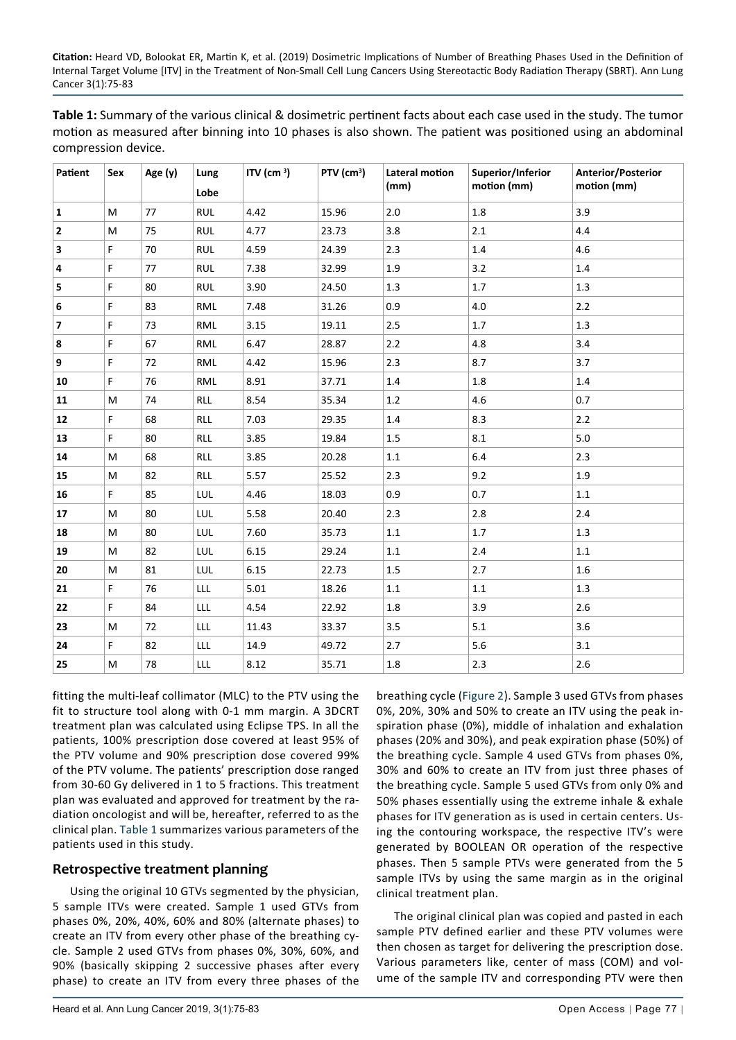<span id="page-2-0"></span>**Table 1:** Summary of the various clinical & dosimetric pertinent facts about each case used in the study. The tumor motion as measured after binning into 10 phases is also shown. The patient was positioned using an abdominal compression device.

| Patient                 | Sex | Age (y) | Lung<br>Lobe | ITV (cm $3$ ) | PTV (cm <sup>3</sup> ) | Lateral motion<br>(mm) | Superior/Inferior<br>motion (mm) | Anterior/Posterior<br>motion (mm) |
|-------------------------|-----|---------|--------------|---------------|------------------------|------------------------|----------------------------------|-----------------------------------|
| $\mathbf{1}$            | M   | 77      | <b>RUL</b>   | 4.42          | 15.96                  | 2.0                    | $1.8\,$                          | 3.9                               |
| $\overline{2}$          | M   | 75      | <b>RUL</b>   | 4.77          | 23.73                  | 3.8                    | 2.1                              | 4.4                               |
| 3                       | F   | 70      | <b>RUL</b>   | 4.59          | 24.39                  | 2.3                    | 1.4                              | 4.6                               |
| 4                       | F   | 77      | <b>RUL</b>   | 7.38          | 32.99                  | 1.9                    | 3.2                              | $1.4\,$                           |
| 5                       | F   | 80      | <b>RUL</b>   | 3.90          | 24.50                  | 1.3                    | 1.7                              | 1.3                               |
| 6                       | F   | 83      | RML          | 7.48          | 31.26                  | 0.9                    | 4.0                              | 2.2                               |
| $\overline{\mathbf{z}}$ | F   | 73      | RML          | 3.15          | 19.11                  | 2.5                    | 1.7                              | 1.3                               |
| 8                       | F   | 67      | <b>RML</b>   | 6.47          | 28.87                  | 2.2                    | 4.8                              | 3.4                               |
| 9                       | F   | 72      | RML          | 4.42          | 15.96                  | 2.3                    | 8.7                              | 3.7                               |
| 10                      | F   | 76      | RML          | 8.91          | 37.71                  | 1.4                    | 1.8                              | 1.4                               |
| 11                      | M   | 74      | RLL          | 8.54          | 35.34                  | 1.2                    | 4.6                              | 0.7                               |
| 12                      | F   | 68      | <b>RLL</b>   | 7.03          | 29.35                  | 1.4                    | 8.3                              | 2.2                               |
| 13                      | F.  | 80      | RLL          | 3.85          | 19.84                  | 1.5                    | 8.1                              | $5.0$                             |
| 14                      | M   | 68      | <b>RLL</b>   | 3.85          | 20.28                  | $1.1\,$                | 6.4                              | 2.3                               |
| 15                      | M   | 82      | <b>RLL</b>   | 5.57          | 25.52                  | 2.3                    | 9.2                              | 1.9                               |
| 16                      | F   | 85      | LUL          | 4.46          | 18.03                  | 0.9                    | 0.7                              | $1.1\,$                           |
| 17                      | М   | 80      | LUL          | 5.58          | 20.40                  | 2.3                    | 2.8                              | 2.4                               |
| 18                      | M   | 80      | LUL          | 7.60          | 35.73                  | $1.1\,$                | 1.7                              | 1.3                               |
| 19                      | M   | 82      | LUL          | 6.15          | 29.24                  | $1.1\,$                | 2.4                              | $1.1\,$                           |
| 20                      | M   | 81      | LUL          | 6.15          | 22.73                  | 1.5                    | 2.7                              | 1.6                               |
| 21                      | F.  | 76      | LLL          | 5.01          | 18.26                  | $1.1\,$                | $1.1\,$                          | 1.3                               |
| 22                      | F.  | 84      | LLL          | 4.54          | 22.92                  | 1.8                    | 3.9                              | 2.6                               |
| 23                      | M   | 72      | LLL          | 11.43         | 33.37                  | 3.5                    | 5.1                              | 3.6                               |
| 24                      | F   | 82      | LLL          | 14.9          | 49.72                  | 2.7                    | 5.6                              | 3.1                               |
| 25                      | M   | 78      | LLL          | 8.12          | 35.71                  | 1.8                    | 2.3                              | 2.6                               |

fitting the multi-leaf collimator (MLC) to the PTV using the fit to structure tool along with 0-1 mm margin. A 3DCRT treatment plan was calculated using Eclipse TPS. In all the patients, 100% prescription dose covered at least 95% of the PTV volume and 90% prescription dose covered 99% of the PTV volume. The patients' prescription dose ranged from 30-60 Gy delivered in 1 to 5 fractions. This treatment plan was evaluated and approved for treatment by the radiation oncologist and will be, hereafter, referred to as the clinical plan. [Table 1](#page-2-0) summarizes various parameters of the patients used in this study.

#### **Retrospective treatment planning**

Using the original 10 GTVs segmented by the physician, 5 sample ITVs were created. Sample 1 used GTVs from phases 0%, 20%, 40%, 60% and 80% (alternate phases) to create an ITV from every other phase of the breathing cycle. Sample 2 used GTVs from phases 0%, 30%, 60%, and 90% (basically skipping 2 successive phases after every phase) to create an ITV from every three phases of the

breathing cycle ([Figure 2\)](#page-3-0). Sample 3 used GTVs from phases 0%, 20%, 30% and 50% to create an ITV using the peak inspiration phase (0%), middle of inhalation and exhalation phases (20% and 30%), and peak expiration phase (50%) of the breathing cycle. Sample 4 used GTVs from phases 0%, 30% and 60% to create an ITV from just three phases of the breathing cycle. Sample 5 used GTVs from only 0% and 50% phases essentially using the extreme inhale & exhale phases for ITV generation as is used in certain centers. Using the contouring workspace, the respective ITV's were generated by BOOLEAN OR operation of the respective phases. Then 5 sample PTVs were generated from the 5 sample ITVs by using the same margin as in the original clinical treatment plan.

The original clinical plan was copied and pasted in each sample PTV defined earlier and these PTV volumes were then chosen as target for delivering the prescription dose. Various parameters like, center of mass (COM) and volume of the sample ITV and corresponding PTV were then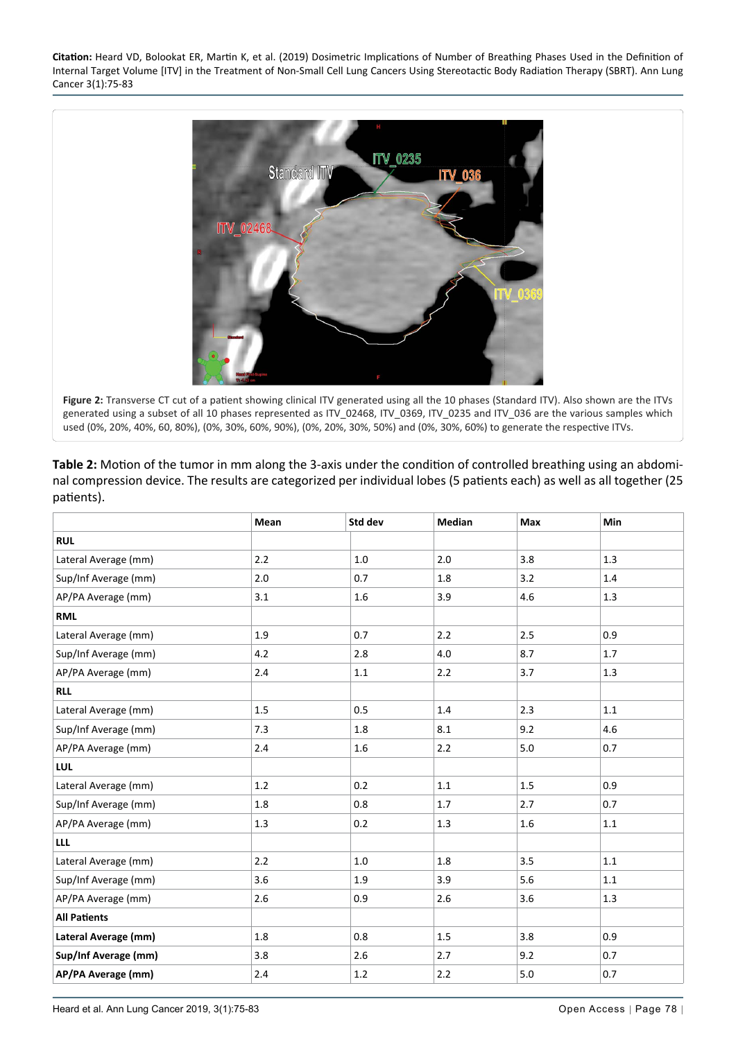<span id="page-3-0"></span>

<span id="page-3-1"></span>**Table 2:** Motion of the tumor in mm along the 3-axis under the condition of controlled breathing using an abdominal compression device. The results are categorized per individual lobes (5 patients each) as well as all together (25 patients).

|                      | Mean | Std dev | <b>Median</b> | Max | Min     |
|----------------------|------|---------|---------------|-----|---------|
| <b>RUL</b>           |      |         |               |     |         |
| Lateral Average (mm) | 2.2  | 1.0     | 2.0           | 3.8 | 1.3     |
| Sup/Inf Average (mm) | 2.0  | 0.7     | 1.8           | 3.2 | 1.4     |
| AP/PA Average (mm)   | 3.1  | 1.6     | 3.9           | 4.6 | 1.3     |
| <b>RML</b>           |      |         |               |     |         |
| Lateral Average (mm) | 1.9  | 0.7     | 2.2           | 2.5 | 0.9     |
| Sup/Inf Average (mm) | 4.2  | 2.8     | 4.0           | 8.7 | 1.7     |
| AP/PA Average (mm)   | 2.4  | 1.1     | 2.2           | 3.7 | 1.3     |
| <b>RLL</b>           |      |         |               |     |         |
| Lateral Average (mm) | 1.5  | 0.5     | 1.4           | 2.3 | 1.1     |
| Sup/Inf Average (mm) | 7.3  | 1.8     | 8.1           | 9.2 | 4.6     |
| AP/PA Average (mm)   | 2.4  | 1.6     | 2.2           | 5.0 | 0.7     |
| LUL                  |      |         |               |     |         |
| Lateral Average (mm) | 1.2  | 0.2     | 1.1           | 1.5 | 0.9     |
| Sup/Inf Average (mm) | 1.8  | 0.8     | 1.7           | 2.7 | 0.7     |
| AP/PA Average (mm)   | 1.3  | 0.2     | 1.3           | 1.6 | $1.1\,$ |
| <b>LLL</b>           |      |         |               |     |         |
| Lateral Average (mm) | 2.2  | $1.0\,$ | 1.8           | 3.5 | $1.1\,$ |
| Sup/Inf Average (mm) | 3.6  | 1.9     | 3.9           | 5.6 | 1.1     |
| AP/PA Average (mm)   | 2.6  | 0.9     | 2.6           | 3.6 | 1.3     |
| <b>All Patients</b>  |      |         |               |     |         |
| Lateral Average (mm) | 1.8  | 0.8     | 1.5           | 3.8 | 0.9     |
| Sup/Inf Average (mm) | 3.8  | 2.6     | 2.7           | 9.2 | 0.7     |
| AP/PA Average (mm)   | 2.4  | 1.2     | 2.2           | 5.0 | 0.7     |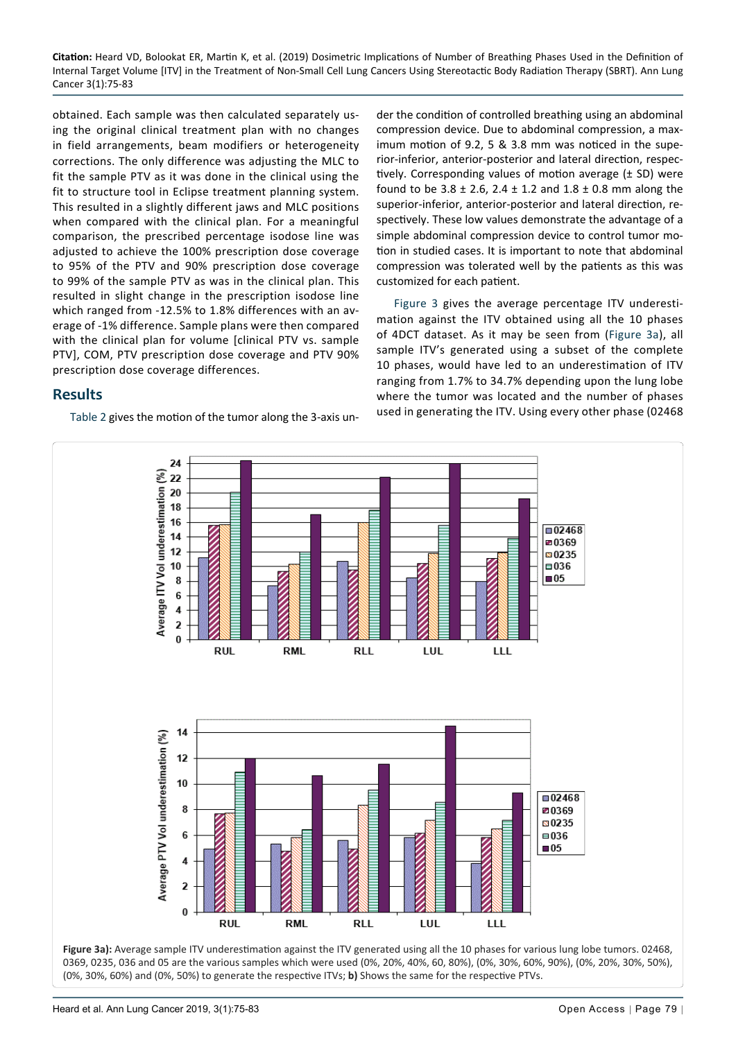obtained. Each sample was then calculated separately using the original clinical treatment plan with no changes in field arrangements, beam modifiers or heterogeneity corrections. The only difference was adjusting the MLC to fit the sample PTV as it was done in the clinical using the fit to structure tool in Eclipse treatment planning system. This resulted in a slightly different jaws and MLC positions when compared with the clinical plan. For a meaningful comparison, the prescribed percentage isodose line was adjusted to achieve the 100% prescription dose coverage to 95% of the PTV and 90% prescription dose coverage to 99% of the sample PTV as was in the clinical plan. This resulted in slight change in the prescription isodose line which ranged from -12.5% to 1.8% differences with an average of -1% difference. Sample plans were then compared with the clinical plan for volume [clinical PTV vs. sample PTV], COM, PTV prescription dose coverage and PTV 90% prescription dose coverage differences.

## **Results**

[Table 2](#page-3-1) gives the motion of the tumor along the 3-axis un-

der the condition of controlled breathing using an abdominal compression device. Due to abdominal compression, a maximum motion of 9.2, 5 & 3.8 mm was noticed in the superior-inferior, anterior-posterior and lateral direction, respectively. Corresponding values of motion average  $(± SD)$  were found to be  $3.8 \pm 2.6$ ,  $2.4 \pm 1.2$  and  $1.8 \pm 0.8$  mm along the superior-inferior, anterior-posterior and lateral direction, respectively. These low values demonstrate the advantage of a simple abdominal compression device to control tumor motion in studied cases. It is important to note that abdominal compression was tolerated well by the patients as this was customized for each patient.

[Figure 3](#page-4-0) gives the average percentage ITV underestimation against the ITV obtained using all the 10 phases of 4DCT dataset. As it may be seen from ([Figure 3a](#page-4-0)), all sample ITV's generated using a subset of the complete 10 phases, would have led to an underestimation of ITV ranging from 1.7% to 34.7% depending upon the lung lobe where the tumor was located and the number of phases used in generating the ITV. Using every other phase (02468

<span id="page-4-0"></span>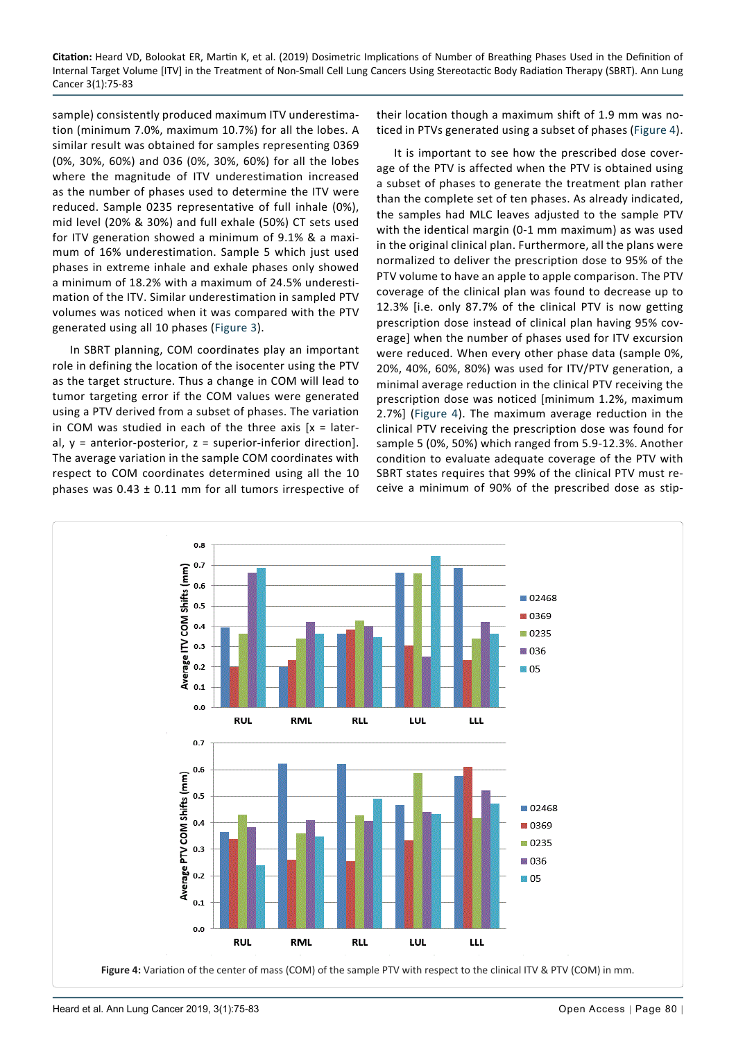sample) consistently produced maximum ITV underestimation (minimum 7.0%, maximum 10.7%) for all the lobes. A similar result was obtained for samples representing 0369 (0%, 30%, 60%) and 036 (0%, 30%, 60%) for all the lobes where the magnitude of ITV underestimation increased as the number of phases used to determine the ITV were reduced. Sample 0235 representative of full inhale (0%), mid level (20% & 30%) and full exhale (50%) CT sets used for ITV generation showed a minimum of 9.1% & a maximum of 16% underestimation. Sample 5 which just used phases in extreme inhale and exhale phases only showed a minimum of 18.2% with a maximum of 24.5% underestimation of the ITV. Similar underestimation in sampled PTV volumes was noticed when it was compared with the PTV generated using all 10 phases ([Figure 3](#page-4-0)).

In SBRT planning, COM coordinates play an important role in defining the location of the isocenter using the PTV as the target structure. Thus a change in COM will lead to tumor targeting error if the COM values were generated using a PTV derived from a subset of phases. The variation in COM was studied in each of the three axis  $[x = later$ al,  $y =$  anterior-posterior,  $z =$  superior-inferior direction]. The average variation in the sample COM coordinates with respect to COM coordinates determined using all the 10 phases was  $0.43 \pm 0.11$  mm for all tumors irrespective of their location though a maximum shift of 1.9 mm was noticed in PTVs generated using a subset of phases ([Figure 4\)](#page-5-0).

It is important to see how the prescribed dose coverage of the PTV is affected when the PTV is obtained using a subset of phases to generate the treatment plan rather than the complete set of ten phases. As already indicated, the samples had MLC leaves adjusted to the sample PTV with the identical margin (0-1 mm maximum) as was used in the original clinical plan. Furthermore, all the plans were normalized to deliver the prescription dose to 95% of the PTV volume to have an apple to apple comparison. The PTV coverage of the clinical plan was found to decrease up to 12.3% [i.e. only 87.7% of the clinical PTV is now getting prescription dose instead of clinical plan having 95% coverage] when the number of phases used for ITV excursion were reduced. When every other phase data (sample 0%, 20%, 40%, 60%, 80%) was used for ITV/PTV generation, a minimal average reduction in the clinical PTV receiving the prescription dose was noticed [minimum 1.2%, maximum 2.7%] [\(Figure 4\)](#page-5-0). The maximum average reduction in the clinical PTV receiving the prescription dose was found for sample 5 (0%, 50%) which ranged from 5.9-12.3%. Another condition to evaluate adequate coverage of the PTV with SBRT states requires that 99% of the clinical PTV must receive a minimum of 90% of the prescribed dose as stip-

<span id="page-5-0"></span>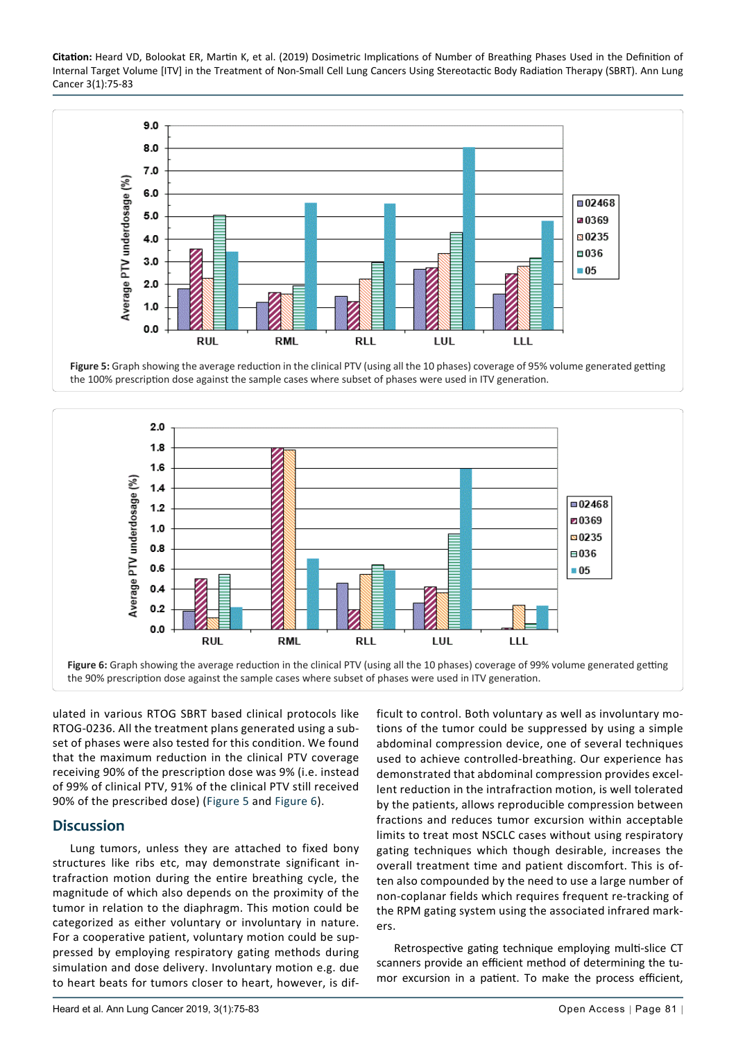<span id="page-6-0"></span>

**Figure 5:** Graph showing the average reduction in the clinical PTV (using all the 10 phases) coverage of 95% volume generated getting the 100% prescription dose against the sample cases where subset of phases were used in ITV generation.

<span id="page-6-1"></span>

ulated in various RTOG SBRT based clinical protocols like RTOG-0236. All the treatment plans generated using a subset of phases were also tested for this condition. We found that the maximum reduction in the clinical PTV coverage receiving 90% of the prescription dose was 9% (i.e. instead of 99% of clinical PTV, 91% of the clinical PTV still received 90% of the prescribed dose) [\(Figure 5](#page-6-0) and [Figure 6\)](#page-6-1).

## **Discussion**

Lung tumors, unless they are attached to fixed bony structures like ribs etc, may demonstrate significant intrafraction motion during the entire breathing cycle, the magnitude of which also depends on the proximity of the tumor in relation to the diaphragm. This motion could be categorized as either voluntary or involuntary in nature. For a cooperative patient, voluntary motion could be suppressed by employing respiratory gating methods during simulation and dose delivery. Involuntary motion e.g. due to heart beats for tumors closer to heart, however, is difficult to control. Both voluntary as well as involuntary motions of the tumor could be suppressed by using a simple abdominal compression device, one of several techniques used to achieve controlled-breathing. Our experience has demonstrated that abdominal compression provides excellent reduction in the intrafraction motion, is well tolerated by the patients, allows reproducible compression between fractions and reduces tumor excursion within acceptable limits to treat most NSCLC cases without using respiratory gating techniques which though desirable, increases the overall treatment time and patient discomfort. This is often also compounded by the need to use a large number of non-coplanar fields which requires frequent re-tracking of the RPM gating system using the associated infrared markers.

Retrospective gating technique employing multi-slice CT scanners provide an efficient method of determining the tumor excursion in a patient. To make the process efficient,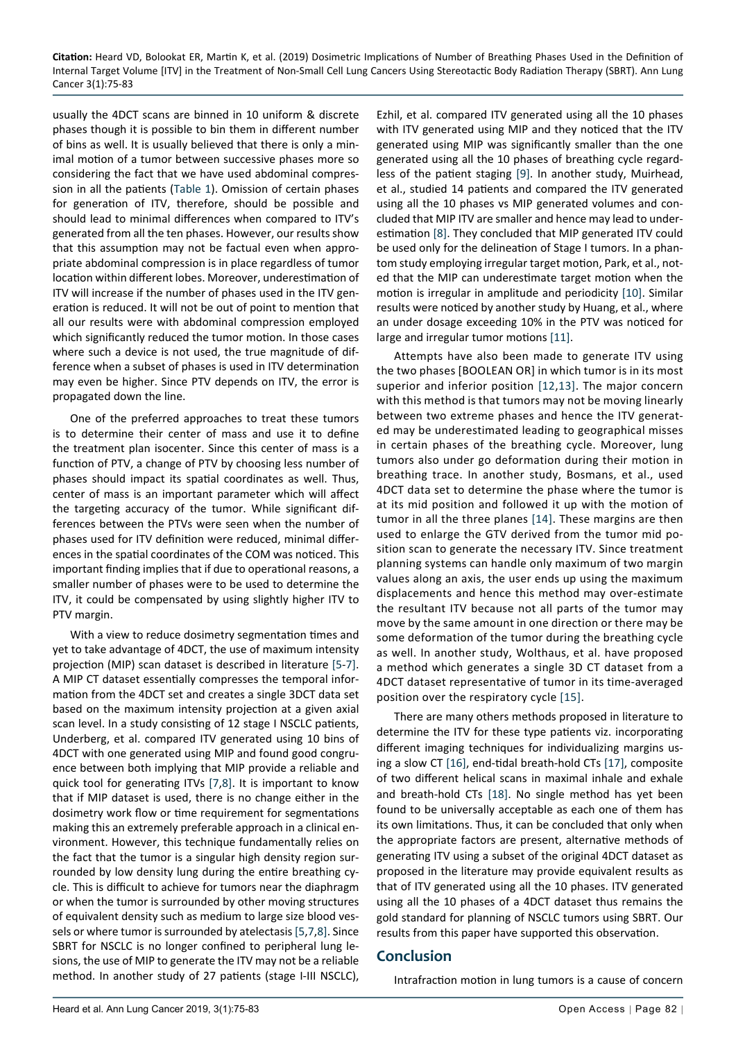usually the 4DCT scans are binned in 10 uniform & discrete phases though it is possible to bin them in different number of bins as well. It is usually believed that there is only a minimal motion of a tumor between successive phases more so considering the fact that we have used abdominal compression in all the patients ([Table 1\)](#page-2-0). Omission of certain phases for generation of ITV, therefore, should be possible and should lead to minimal differences when compared to ITV's generated from all the ten phases. However, our results show that this assumption may not be factual even when appropriate abdominal compression is in place regardless of tumor location within different lobes. Moreover, underestimation of ITV will increase if the number of phases used in the ITV generation is reduced. It will not be out of point to mention that all our results were with abdominal compression employed which significantly reduced the tumor motion. In those cases where such a device is not used, the true magnitude of difference when a subset of phases is used in ITV determination may even be higher. Since PTV depends on ITV, the error is propagated down the line.

One of the preferred approaches to treat these tumors is to determine their center of mass and use it to define the treatment plan isocenter. Since this center of mass is a function of PTV, a change of PTV by choosing less number of phases should impact its spatial coordinates as well. Thus, center of mass is an important parameter which will affect the targeting accuracy of the tumor. While significant differences between the PTVs were seen when the number of phases used for ITV definition were reduced, minimal differences in the spatial coordinates of the COM was noticed. This important finding implies that if due to operational reasons, a smaller number of phases were to be used to determine the ITV, it could be compensated by using slightly higher ITV to PTV margin.

With a view to reduce dosimetry segmentation times and yet to take advantage of 4DCT, the use of maximum intensity projection (MIP) scan dataset is described in literature [[5-](#page-8-3)[7\]](#page-8-15). A MIP CT dataset essentially compresses the temporal information from the 4DCT set and creates a single 3DCT data set based on the maximum intensity projection at a given axial scan level. In a study consisting of 12 stage I NSCLC patients, Underberg, et al. compared ITV generated using 10 bins of 4DCT with one generated using MIP and found good congruence between both implying that MIP provide a reliable and quick tool for generating ITVs [\[7](#page-8-15),[8\]](#page-8-5). It is important to know that if MIP dataset is used, there is no change either in the dosimetry work flow or time requirement for segmentations making this an extremely preferable approach in a clinical environment. However, this technique fundamentally relies on the fact that the tumor is a singular high density region surrounded by low density lung during the entire breathing cycle. This is difficult to achieve for tumors near the diaphragm or when the tumor is surrounded by other moving structures of equivalent density such as medium to large size blood vessels or where tumor is surrounded by atelectasis [[5,](#page-8-3)[7](#page-8-15),[8\]](#page-8-5). Since SBRT for NSCLC is no longer confined to peripheral lung lesions, the use of MIP to generate the ITV may not be a reliable method. In another study of 27 patients (stage I-III NSCLC),

Ezhil, et al. compared ITV generated using all the 10 phases with ITV generated using MIP and they noticed that the ITV generated using MIP was significantly smaller than the one generated using all the 10 phases of breathing cycle regardless of the patient staging [[9\]](#page-8-4). In another study, Muirhead, et al., studied 14 patients and compared the ITV generated using all the 10 phases vs MIP generated volumes and concluded that MIP ITV are smaller and hence may lead to underestimation [[8\]](#page-8-5). They concluded that MIP generated ITV could be used only for the delineation of Stage I tumors. In a phantom study employing irregular target motion, Park, et al., noted that the MIP can underestimate target motion when the motion is irregular in amplitude and periodicity [\[10](#page-8-6)]. Similar results were noticed by another study by Huang, et al., where an under dosage exceeding 10% in the PTV was noticed for large and irregular tumor motions [\[11](#page-8-7)].

Attempts have also been made to generate ITV using the two phases [BOOLEAN OR] in which tumor is in its most superior and inferior position [[12](#page-8-8),[13](#page-8-9)]. The major concern with this method is that tumors may not be moving linearly between two extreme phases and hence the ITV generated may be underestimated leading to geographical misses in certain phases of the breathing cycle. Moreover, lung tumors also under go deformation during their motion in breathing trace. In another study, Bosmans, et al., used 4DCT data set to determine the phase where the tumor is at its mid position and followed it up with the motion of tumor in all the three planes [\[14\]](#page-8-10). These margins are then used to enlarge the GTV derived from the tumor mid position scan to generate the necessary ITV. Since treatment planning systems can handle only maximum of two margin values along an axis, the user ends up using the maximum displacements and hence this method may over-estimate the resultant ITV because not all parts of the tumor may move by the same amount in one direction or there may be some deformation of the tumor during the breathing cycle as well. In another study, Wolthaus, et al. have proposed a method which generates a single 3D CT dataset from a 4DCT dataset representative of tumor in its time-averaged position over the respiratory cycle [\[15\]](#page-8-11).

There are many others methods proposed in literature to determine the ITV for these type patients viz. incorporating different imaging techniques for individualizing margins using a slow CT [\[16](#page-8-12)], end-tidal breath-hold CTs [[17](#page-8-13)], composite of two different helical scans in maximal inhale and exhale and breath-hold CTs [[18\]](#page-8-14). No single method has yet been found to be universally acceptable as each one of them has its own limitations. Thus, it can be concluded that only when the appropriate factors are present, alternative methods of generating ITV using a subset of the original 4DCT dataset as proposed in the literature may provide equivalent results as that of ITV generated using all the 10 phases. ITV generated using all the 10 phases of a 4DCT dataset thus remains the gold standard for planning of NSCLC tumors using SBRT. Our results from this paper have supported this observation.

### **Conclusion**

Intrafraction motion in lung tumors is a cause of concern